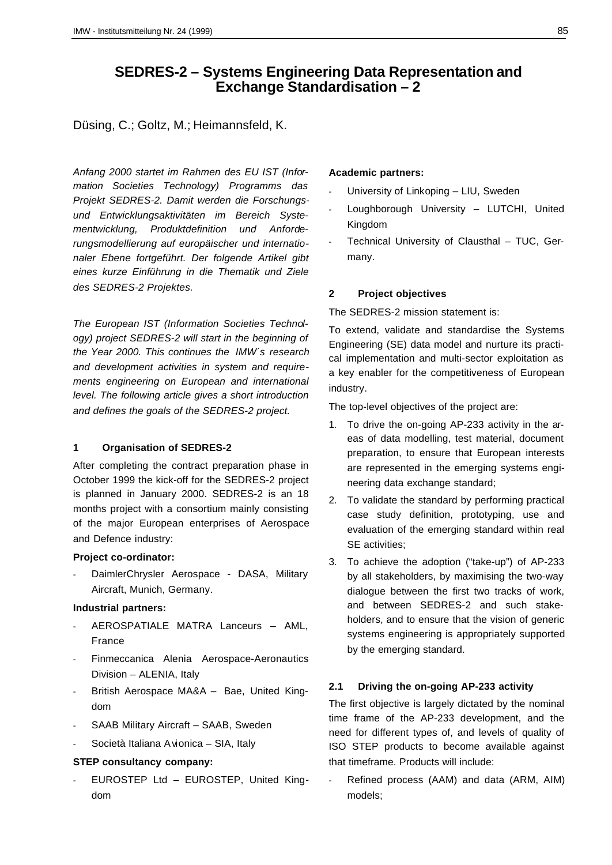# **SEDRES-2 – Systems Engineering Data Representation and Exchange Standardisation – 2**

Düsing, C.; Goltz, M.; Heimannsfeld, K.

*Anfang 2000 startet im Rahmen des EU IST (Information Societies Technology) Programms das Projekt SEDRES-2. Damit werden die Forschungsund Entwicklungsaktivitäten im Bereich Systementwicklung, Produktdefinition und Anforderungsmodellierung auf europäischer und internationaler Ebene fortgeführt. Der folgende Artikel gibt eines kurze Einführung in die Thematik und Ziele des SEDRES-2 Projektes.*

*The European IST (Information Societies Technology) project SEDRES-2 will start in the beginning of the Year 2000. This continues the IMW´s research and development activities in system and requirements engineering on European and international level. The following article gives a short introduction and defines the goals of the SEDRES-2 project.*

#### **1 Organisation of SEDRES-2**

After completing the contract preparation phase in October 1999 the kick-off for the SEDRES-2 project is planned in January 2000. SEDRES-2 is an 18 months project with a consortium mainly consisting of the major European enterprises of Aerospace and Defence industry:

### **Project co-ordinator:**

DaimlerChrysler Aerospace - DASA, Military Aircraft, Munich, Germany.

#### **Industrial partners:**

- AEROSPATIALE MATRA Lanceurs AML, France
- Finmeccanica Alenia Aerospace-Aeronautics Division – ALENIA, Italy
- British Aerospace MA&A Bae, United Kingdom
- SAAB Military Aircraft SAAB, Sweden
- Società Italiana Avionica SIA, Italy

# **STEP consultancy company:**

- EUROSTEP Ltd – EUROSTEP, United Kingdom

### **Academic partners:**

- University of Linkoping LIU, Sweden
- Loughborough University LUTCHI, United Kingdom
- Technical University of Clausthal TUC, Germany.

#### **2 Project objectives**

The SEDRES-2 mission statement is:

To extend, validate and standardise the Systems Engineering (SE) data model and nurture its practical implementation and multi-sector exploitation as a key enabler for the competitiveness of European industry.

The top-level objectives of the project are:

- 1. To drive the on-going AP-233 activity in the areas of data modelling, test material, document preparation, to ensure that European interests are represented in the emerging systems engineering data exchange standard;
- 2. To validate the standard by performing practical case study definition, prototyping, use and evaluation of the emerging standard within real SE activities;
- 3. To achieve the adoption ("take-up") of AP-233 by all stakeholders, by maximising the two-way dialogue between the first two tracks of work, and between SEDRES-2 and such stakeholders, and to ensure that the vision of generic systems engineering is appropriately supported by the emerging standard.

#### **2.1 Driving the on-going AP-233 activity**

The first objective is largely dictated by the nominal time frame of the AP-233 development, and the need for different types of, and levels of quality of ISO STEP products to become available against that timeframe. Products will include:

Refined process (AAM) and data (ARM, AIM) models;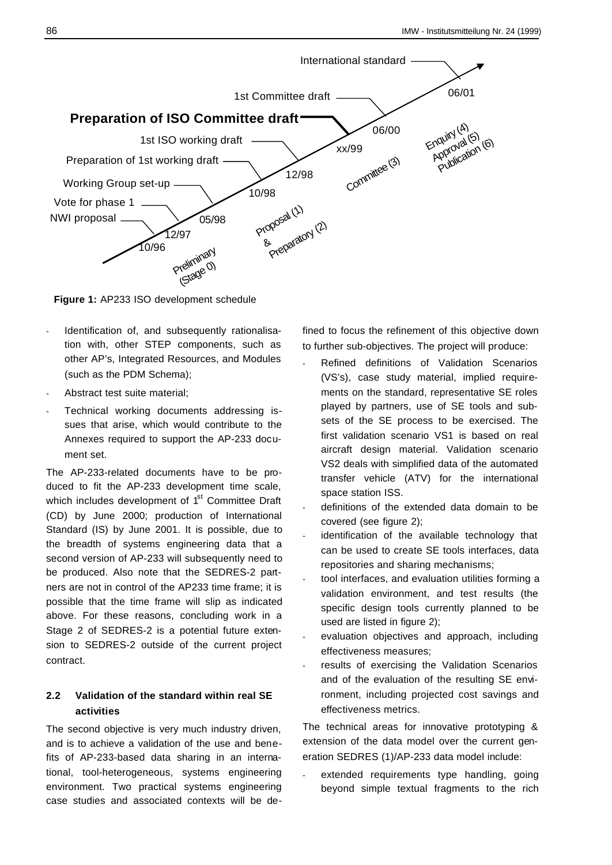

**Figure 1:** AP233 ISO development schedule

- Identification of, and subsequently rationalisation with, other STEP components, such as other AP's, Integrated Resources, and Modules (such as the PDM Schema);
- Abstract test suite material;
- Technical working documents addressing issues that arise, which would contribute to the Annexes required to support the AP-233 document set.

The AP-233-related documents have to be produced to fit the AP-233 development time scale, which includes development of 1<sup>st</sup> Committee Draft (CD) by June 2000; production of International Standard (IS) by June 2001. It is possible, due to the breadth of systems engineering data that a second version of AP-233 will subsequently need to be produced. Also note that the SEDRES-2 partners are not in control of the AP233 time frame; it is possible that the time frame will slip as indicated above. For these reasons, concluding work in a Stage 2 of SEDRES-2 is a potential future extension to SEDRES-2 outside of the current project contract.

# **2.2 Validation of the standard within real SE activities**

The second objective is very much industry driven, and is to achieve a validation of the use and benefits of AP-233-based data sharing in an international, tool-heterogeneous, systems engineering environment. Two practical systems engineering case studies and associated contexts will be defined to focus the refinement of this objective down to further sub-objectives. The project will produce:

- Refined definitions of Validation Scenarios (VS's), case study material, implied requirements on the standard, representative SE roles played by partners, use of SE tools and subsets of the SE process to be exercised. The first validation scenario VS1 is based on real aircraft design material. Validation scenario VS2 deals with simplified data of the automated transfer vehicle (ATV) for the international space station ISS.
- definitions of the extended data domain to be covered (see figure 2);
- identification of the available technology that can be used to create SE tools interfaces, data repositories and sharing mechanisms;
- tool interfaces, and evaluation utilities forming a validation environment, and test results (the specific design tools currently planned to be used are listed in figure 2);
- evaluation objectives and approach, including effectiveness measures;
- results of exercising the Validation Scenarios and of the evaluation of the resulting SE environment, including projected cost savings and effectiveness metrics.

The technical areas for innovative prototyping & extension of the data model over the current generation SEDRES (1)/AP-233 data model include:

extended requirements type handling, going beyond simple textual fragments to the rich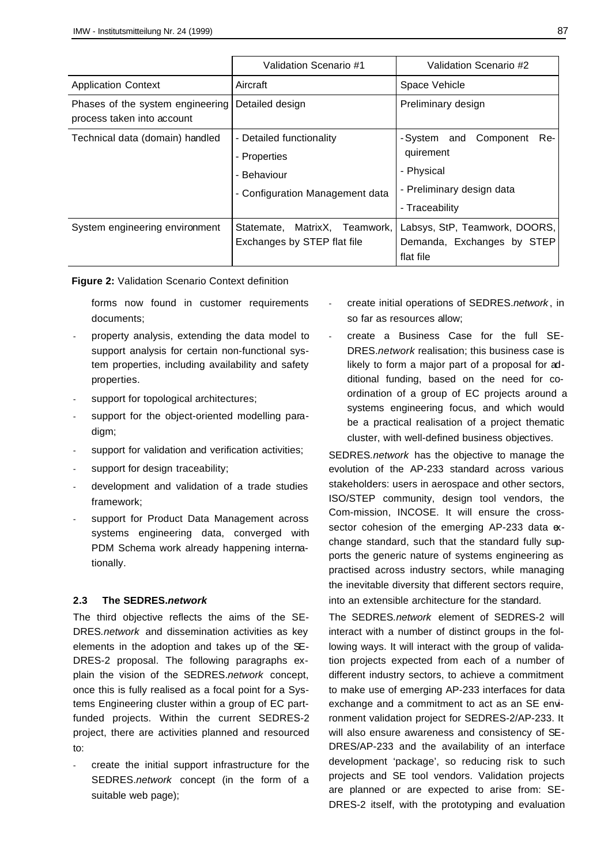|                                                                | Validation Scenario #1           | Validation Scenario #2          |
|----------------------------------------------------------------|----------------------------------|---------------------------------|
| <b>Application Context</b>                                     | Aircraft                         | Space Vehicle                   |
| Phases of the system engineering<br>process taken into account | Detailed design                  | Preliminary design              |
| Technical data (domain) handled                                | - Detailed functionality         | -System and<br>Component<br>Re- |
|                                                                | - Properties                     | quirement                       |
|                                                                | - Behaviour                      | - Physical                      |
|                                                                | - Configuration Management data  | - Preliminary design data       |
|                                                                |                                  | - Traceability                  |
| System engineering environment                                 | MatrixX, Teamwork,<br>Statemate, | Labsys, StP, Teamwork, DOORS,   |
|                                                                | Exchanges by STEP flat file      | Demanda, Exchanges by STEP      |
|                                                                |                                  | flat file                       |

**Figure 2:** Validation Scenario Context definition

forms now found in customer requirements documents;

- property analysis, extending the data model to support analysis for certain non-functional system properties, including availability and safety properties.
- support for topological architectures;
- support for the object-oriented modelling paradigm;
- support for validation and verification activities;
- support for design traceability;
- development and validation of a trade studies framework;
- support for Product Data Management across systems engineering data, converged with PDM Schema work already happening internationally.

## **2.3 The SEDRES.***network*

The third objective reflects the aims of the SE-DRES*.network* and dissemination activities as key elements in the adoption and takes up of the SE-DRES-2 proposal. The following paragraphs explain the vision of the SEDRES.*network* concept, once this is fully realised as a focal point for a Systems Engineering cluster within a group of EC partfunded projects. Within the current SEDRES-2 project, there are activities planned and resourced to:

create the initial support infrastructure for the SEDRES.*network* concept (in the form of a suitable web page);

- create initial operations of SEDRES.*network* , in so far as resources allow;
- create a Business Case for the full SE-DRES.*network* realisation; this business case is likely to form a major part of a proposal for additional funding, based on the need for coordination of a group of EC projects around a systems engineering focus, and which would be a practical realisation of a project thematic cluster, with well-defined business objectives.

SEDRES*.network* has the objective to manage the evolution of the AP-233 standard across various stakeholders: users in aerospace and other sectors, ISO/STEP community, design tool vendors, the Com-mission, INCOSE. It will ensure the crosssector cohesion of the emerging AP-233 data  $\alpha$ change standard, such that the standard fully supports the generic nature of systems engineering as practised across industry sectors, while managing the inevitable diversity that different sectors require, into an extensible architecture for the standard.

The SEDRES*.network* element of SEDRES-2 will interact with a number of distinct groups in the following ways. It will interact with the group of validation projects expected from each of a number of different industry sectors, to achieve a commitment to make use of emerging AP-233 interfaces for data exchange and a commitment to act as an SE environment validation project for SEDRES-2/AP-233. It will also ensure awareness and consistency of SE-DRES/AP-233 and the availability of an interface development 'package', so reducing risk to such projects and SE tool vendors. Validation projects are planned or are expected to arise from: SE-DRES-2 itself, with the prototyping and evaluation